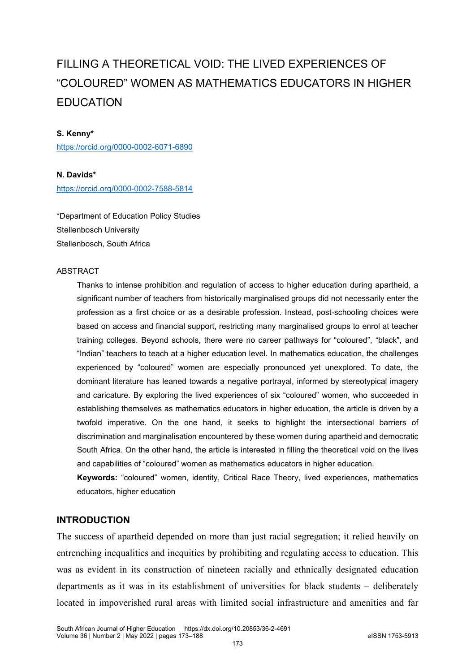# FILLING A THEORETICAL VOID: THE LIVED EXPERIENCES OF "COLOURED" WOMEN AS MATHEMATICS EDUCATORS IN HIGHER EDUCATION

#### **S. Kenny\***

<https://orcid.org/0000-0002-6071-6890>

**N. Davids\*** <https://orcid.org/0000-0002-7588-5814>

\*Department of Education Policy Studies Stellenbosch University Stellenbosch, South Africa

#### ABSTRACT

Thanks to intense prohibition and regulation of access to higher education during apartheid, a significant number of teachers from historically marginalised groups did not necessarily enter the profession as a first choice or as a desirable profession. Instead, post-schooling choices were based on access and financial support, restricting many marginalised groups to enrol at teacher training colleges. Beyond schools, there were no career pathways for "coloured", "black", and "Indian" teachers to teach at a higher education level. In mathematics education, the challenges experienced by "coloured" women are especially pronounced yet unexplored. To date, the dominant literature has leaned towards a negative portrayal, informed by stereotypical imagery and caricature. By exploring the lived experiences of six "coloured" women, who succeeded in establishing themselves as mathematics educators in higher education, the article is driven by a twofold imperative. On the one hand, it seeks to highlight the intersectional barriers of discrimination and marginalisation encountered by these women during apartheid and democratic South Africa. On the other hand, the article is interested in filling the theoretical void on the lives and capabilities of "coloured" women as mathematics educators in higher education.

**Keywords:** "coloured" women, identity, Critical Race Theory, lived experiences, mathematics educators, higher education

# **INTRODUCTION**

The success of apartheid depended on more than just racial segregation; it relied heavily on entrenching inequalities and inequities by prohibiting and regulating access to education. This was as evident in its construction of nineteen racially and ethnically designated education departments as it was in its establishment of universities for black students – deliberately located in impoverished rural areas with limited social infrastructure and amenities and far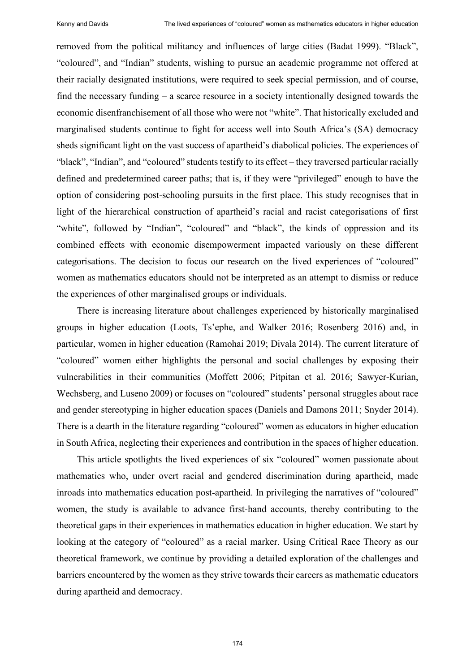removed from the political militancy and influences of large cities (Badat 1999). "Black", "coloured", and "Indian" students, wishing to pursue an academic programme not offered at their racially designated institutions, were required to seek special permission, and of course, find the necessary funding – a scarce resource in a society intentionally designed towards the economic disenfranchisement of all those who were not "white". That historically excluded and marginalised students continue to fight for access well into South Africa's (SA) democracy sheds significant light on the vast success of apartheid's diabolical policies. The experiences of "black", "Indian", and "coloured" students testify to its effect – they traversed particular racially defined and predetermined career paths; that is, if they were "privileged" enough to have the option of considering post-schooling pursuits in the first place. This study recognises that in light of the hierarchical construction of apartheid's racial and racist categorisations of first "white", followed by "Indian", "coloured" and "black", the kinds of oppression and its combined effects with economic disempowerment impacted variously on these different categorisations. The decision to focus our research on the lived experiences of "coloured" women as mathematics educators should not be interpreted as an attempt to dismiss or reduce the experiences of other marginalised groups or individuals.

There is increasing literature about challenges experienced by historically marginalised groups in higher education (Loots, Ts'ephe, and Walker 2016; Rosenberg 2016) and, in particular, women in higher education (Ramohai 2019; Divala 2014). The current literature of "coloured" women either highlights the personal and social challenges by exposing their vulnerabilities in their communities (Moffett 2006; Pitpitan et al. 2016; Sawyer-Kurian, Wechsberg, and Luseno 2009) or focuses on "coloured" students' personal struggles about race and gender stereotyping in higher education spaces (Daniels and Damons 2011; Snyder 2014). There is a dearth in the literature regarding "coloured" women as educators in higher education in South Africa, neglecting their experiences and contribution in the spaces of higher education.

This article spotlights the lived experiences of six "coloured" women passionate about mathematics who, under overt racial and gendered discrimination during apartheid, made inroads into mathematics education post-apartheid. In privileging the narratives of "coloured" women, the study is available to advance first-hand accounts, thereby contributing to the theoretical gaps in their experiences in mathematics education in higher education. We start by looking at the category of "coloured" as a racial marker. Using Critical Race Theory as our theoretical framework, we continue by providing a detailed exploration of the challenges and barriers encountered by the women as they strive towards their careers as mathematic educators during apartheid and democracy.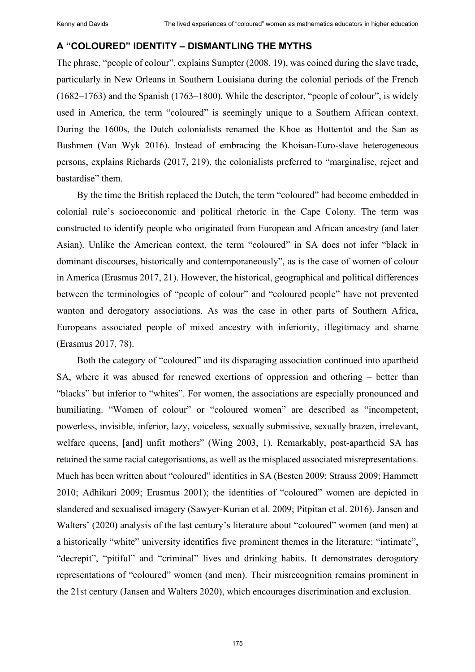# **A "COLOURED" IDENTITY – DISMANTLING THE MYTHS**

The phrase, "people of colour", explains Sumpter (2008, 19), was coined during the slave trade, particularly in New Orleans in Southern Louisiana during the colonial periods of the French (1682–1763) and the Spanish (1763–1800). While the descriptor, "people of colour", is widely used in America, the term "coloured" is seemingly unique to a Southern African context. During the 1600s, the Dutch colonialists renamed the Khoe as Hottentot and the San as Bushmen (Van Wyk 2016). Instead of embracing the Khoisan-Euro-slave heterogeneous persons, explains Richards (2017, 219), the colonialists preferred to "marginalise, reject and bastardise" them.

By the time the British replaced the Dutch, the term "coloured" had become embedded in colonial rule's socioeconomic and political rhetoric in the Cape Colony. The term was constructed to identify people who originated from European and African ancestry (and later Asian). Unlike the American context, the term "coloured" in SA does not infer "black in dominant discourses, historically and contemporaneously", as is the case of women of colour in America (Erasmus 2017, 21). However, the historical, geographical and political differences between the terminologies of "people of colour" and "coloured people" have not prevented wanton and derogatory associations. As was the case in other parts of Southern Africa, Europeans associated people of mixed ancestry with inferiority, illegitimacy and shame (Erasmus 2017, 78).

Both the category of "coloured" and its disparaging association continued into apartheid SA, where it was abused for renewed exertions of oppression and othering – better than "blacks" but inferior to "whites". For women, the associations are especially pronounced and humiliating. "Women of colour" or "coloured women" are described as "incompetent, powerless, invisible, inferior, lazy, voiceless, sexually submissive, sexually brazen, irrelevant, welfare queens, [and] unfit mothers" (Wing 2003, 1). Remarkably, post-apartheid SA has retained the same racial categorisations, as well as the misplaced associated misrepresentations. Much has been written about "coloured" identities in SA (Besten 2009; Strauss 2009; Hammett 2010; Adhikari 2009; Erasmus 2001); the identities of "coloured" women are depicted in slandered and sexualised imagery (Sawyer-Kurian et al. 2009; Pitpitan et al. 2016). Jansen and Walters' (2020) analysis of the last century's literature about "coloured" women (and men) at a historically "white" university identifies five prominent themes in the literature: "intimate", "decrepit", "pitiful" and "criminal" lives and drinking habits. It demonstrates derogatory representations of "coloured" women (and men). Their misrecognition remains prominent in the 21st century (Jansen and Walters 2020), which encourages discrimination and exclusion.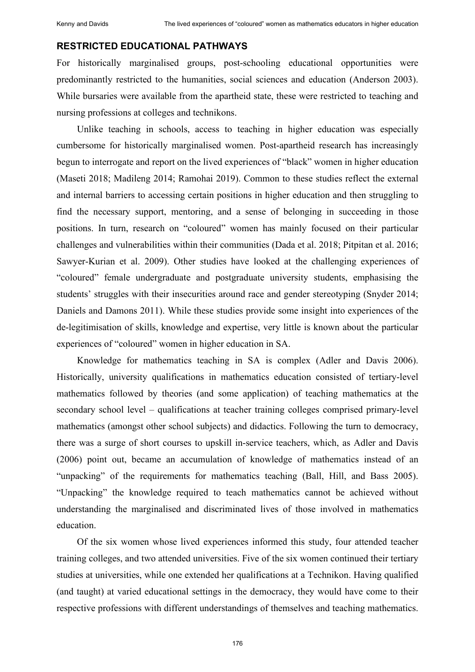## **RESTRICTED EDUCATIONAL PATHWAYS**

For historically marginalised groups, post-schooling educational opportunities were predominantly restricted to the humanities, social sciences and education (Anderson 2003). While bursaries were available from the apartheid state, these were restricted to teaching and nursing professions at colleges and technikons.

Unlike teaching in schools, access to teaching in higher education was especially cumbersome for historically marginalised women. Post-apartheid research has increasingly begun to interrogate and report on the lived experiences of "black" women in higher education (Maseti 2018; Madileng 2014; Ramohai 2019). Common to these studies reflect the external and internal barriers to accessing certain positions in higher education and then struggling to find the necessary support, mentoring, and a sense of belonging in succeeding in those positions. In turn, research on "coloured" women has mainly focused on their particular challenges and vulnerabilities within their communities (Dada et al. 2018; Pitpitan et al. 2016; Sawyer-Kurian et al. 2009). Other studies have looked at the challenging experiences of "coloured" female undergraduate and postgraduate university students, emphasising the students' struggles with their insecurities around race and gender stereotyping (Snyder 2014; Daniels and Damons 2011). While these studies provide some insight into experiences of the de-legitimisation of skills, knowledge and expertise, very little is known about the particular experiences of "coloured" women in higher education in SA.

Knowledge for mathematics teaching in SA is complex (Adler and Davis 2006). Historically, university qualifications in mathematics education consisted of tertiary-level mathematics followed by theories (and some application) of teaching mathematics at the secondary school level – qualifications at teacher training colleges comprised primary-level mathematics (amongst other school subjects) and didactics. Following the turn to democracy, there was a surge of short courses to upskill in-service teachers, which, as Adler and Davis (2006) point out, became an accumulation of knowledge of mathematics instead of an "unpacking" of the requirements for mathematics teaching (Ball, Hill, and Bass 2005). "Unpacking" the knowledge required to teach mathematics cannot be achieved without understanding the marginalised and discriminated lives of those involved in mathematics education.

Of the six women whose lived experiences informed this study, four attended teacher training colleges, and two attended universities. Five of the six women continued their tertiary studies at universities, while one extended her qualifications at a Technikon. Having qualified (and taught) at varied educational settings in the democracy, they would have come to their respective professions with different understandings of themselves and teaching mathematics.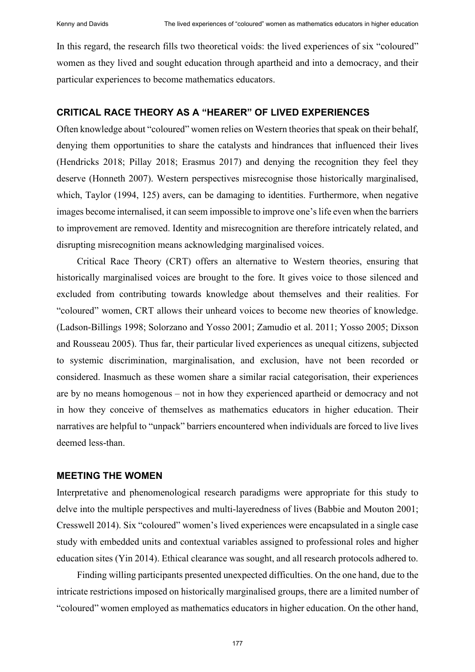In this regard, the research fills two theoretical voids: the lived experiences of six "coloured" women as they lived and sought education through apartheid and into a democracy, and their particular experiences to become mathematics educators.

#### **CRITICAL RACE THEORY AS A "HEARER" OF LIVED EXPERIENCES**

Often knowledge about "coloured" women relies on Western theories that speak on their behalf, denying them opportunities to share the catalysts and hindrances that influenced their lives (Hendricks 2018; Pillay 2018; Erasmus 2017) and denying the recognition they feel they deserve (Honneth 2007). Western perspectives misrecognise those historically marginalised, which, Taylor (1994, 125) avers, can be damaging to identities. Furthermore, when negative images become internalised, it can seem impossible to improve one's life even when the barriers to improvement are removed. Identity and misrecognition are therefore intricately related, and disrupting misrecognition means acknowledging marginalised voices.

Critical Race Theory (CRT) offers an alternative to Western theories, ensuring that historically marginalised voices are brought to the fore. It gives voice to those silenced and excluded from contributing towards knowledge about themselves and their realities. For "coloured" women, CRT allows their unheard voices to become new theories of knowledge. (Ladson-Billings 1998; Solorzano and Yosso 2001; Zamudio et al. 2011; Yosso 2005; Dixson and Rousseau 2005). Thus far, their particular lived experiences as unequal citizens, subjected to systemic discrimination, marginalisation, and exclusion, have not been recorded or considered. Inasmuch as these women share a similar racial categorisation, their experiences are by no means homogenous – not in how they experienced apartheid or democracy and not in how they conceive of themselves as mathematics educators in higher education. Their narratives are helpful to "unpack" barriers encountered when individuals are forced to live lives deemed less-than.

## **MEETING THE WOMEN**

Interpretative and phenomenological research paradigms were appropriate for this study to delve into the multiple perspectives and multi-layeredness of lives (Babbie and Mouton 2001; Cresswell 2014). Six "coloured" women's lived experiences were encapsulated in a single case study with embedded units and contextual variables assigned to professional roles and higher education sites (Yin 2014). Ethical clearance was sought, and all research protocols adhered to.

Finding willing participants presented unexpected difficulties. On the one hand, due to the intricate restrictions imposed on historically marginalised groups, there are a limited number of "coloured" women employed as mathematics educators in higher education. On the other hand,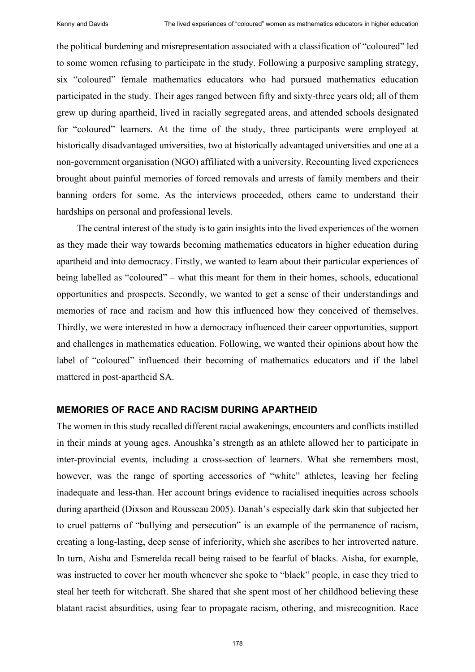the political burdening and misrepresentation associated with a classification of "coloured" led to some women refusing to participate in the study. Following a purposive sampling strategy, six "coloured" female mathematics educators who had pursued mathematics education participated in the study. Their ages ranged between fifty and sixty-three years old; all of them grew up during apartheid, lived in racially segregated areas, and attended schools designated for "coloured" learners. At the time of the study, three participants were employed at historically disadvantaged universities, two at historically advantaged universities and one at a non-government organisation (NGO) affiliated with a university. Recounting lived experiences brought about painful memories of forced removals and arrests of family members and their banning orders for some. As the interviews proceeded, others came to understand their hardships on personal and professional levels.

The central interest of the study is to gain insights into the lived experiences of the women as they made their way towards becoming mathematics educators in higher education during apartheid and into democracy. Firstly, we wanted to learn about their particular experiences of being labelled as "coloured" – what this meant for them in their homes, schools, educational opportunities and prospects. Secondly, we wanted to get a sense of their understandings and memories of race and racism and how this influenced how they conceived of themselves. Thirdly, we were interested in how a democracy influenced their career opportunities, support and challenges in mathematics education. Following, we wanted their opinions about how the label of "coloured" influenced their becoming of mathematics educators and if the label mattered in post-apartheid SA.

# **MEMORIES OF RACE AND RACISM DURING APARTHEID**

The women in this study recalled different racial awakenings, encounters and conflicts instilled in their minds at young ages. Anoushka's strength as an athlete allowed her to participate in inter-provincial events, including a cross-section of learners. What she remembers most, however, was the range of sporting accessories of "white" athletes, leaving her feeling inadequate and less-than. Her account brings evidence to racialised inequities across schools during apartheid (Dixson and Rousseau 2005). Danah's especially dark skin that subjected her to cruel patterns of "bullying and persecution" is an example of the permanence of racism, creating a long-lasting, deep sense of inferiority, which she ascribes to her introverted nature. In turn, Aisha and Esmerelda recall being raised to be fearful of blacks. Aisha, for example, was instructed to cover her mouth whenever she spoke to "black" people, in case they tried to steal her teeth for witchcraft. She shared that she spent most of her childhood believing these blatant racist absurdities, using fear to propagate racism, othering, and misrecognition. Race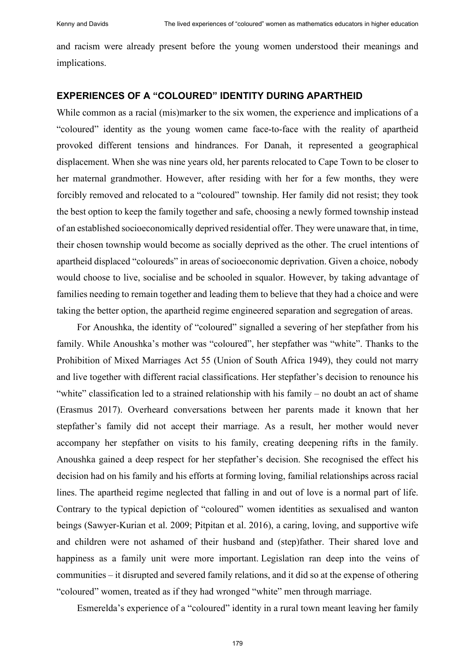and racism were already present before the young women understood their meanings and implications.

## **EXPERIENCES OF A "COLOURED" IDENTITY DURING APARTHEID**

While common as a racial (mis)marker to the six women, the experience and implications of a "coloured" identity as the young women came face-to-face with the reality of apartheid provoked different tensions and hindrances. For Danah, it represented a geographical displacement. When she was nine years old, her parents relocated to Cape Town to be closer to her maternal grandmother. However, after residing with her for a few months, they were forcibly removed and relocated to a "coloured" township. Her family did not resist; they took the best option to keep the family together and safe, choosing a newly formed township instead of an established socioeconomically deprived residential offer. They were unaware that, in time, their chosen township would become as socially deprived as the other. The cruel intentions of apartheid displaced "coloureds" in areas of socioeconomic deprivation. Given a choice, nobody would choose to live, socialise and be schooled in squalor. However, by taking advantage of families needing to remain together and leading them to believe that they had a choice and were taking the better option, the apartheid regime engineered separation and segregation of areas.

For Anoushka, the identity of "coloured" signalled a severing of her stepfather from his family. While Anoushka's mother was "coloured", her stepfather was "white". Thanks to the Prohibition of Mixed Marriages Act 55 (Union of South Africa 1949), they could not marry and live together with different racial classifications. Her stepfather's decision to renounce his "white" classification led to a strained relationship with his family – no doubt an act of shame (Erasmus 2017). Overheard conversations between her parents made it known that her stepfather's family did not accept their marriage. As a result, her mother would never accompany her stepfather on visits to his family, creating deepening rifts in the family. Anoushka gained a deep respect for her stepfather's decision. She recognised the effect his decision had on his family and his efforts at forming loving, familial relationships across racial lines. The apartheid regime neglected that falling in and out of love is a normal part of life. Contrary to the typical depiction of "coloured" women identities as sexualised and wanton beings (Sawyer-Kurian et al. 2009; Pitpitan et al. 2016), a caring, loving, and supportive wife and children were not ashamed of their husband and (step)father. Their shared love and happiness as a family unit were more important. Legislation ran deep into the veins of communities – it disrupted and severed family relations, and it did so at the expense of othering "coloured" women, treated as if they had wronged "white" men through marriage.

Esmerelda's experience of a "coloured" identity in a rural town meant leaving her family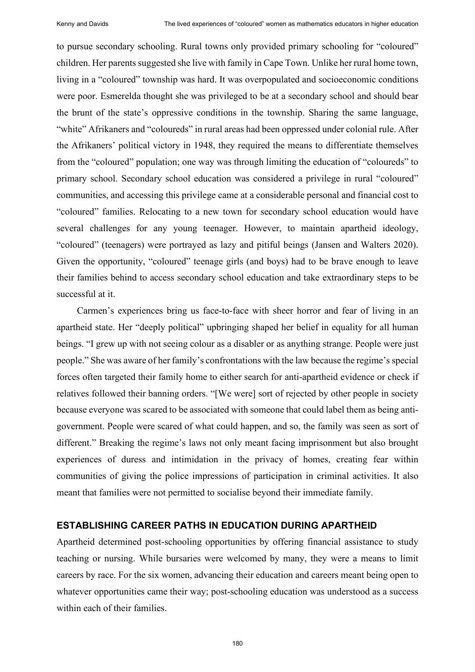to pursue secondary schooling. Rural towns only provided primary schooling for "coloured" children. Her parents suggested she live with family in Cape Town. Unlike her rural home town, living in a "coloured" township was hard. It was overpopulated and socioeconomic conditions were poor. Esmerelda thought she was privileged to be at a secondary school and should bear the brunt of the state's oppressive conditions in the township. Sharing the same language, "white" Afrikaners and "coloureds" in rural areas had been oppressed under colonial rule. After the Afrikaners' political victory in 1948, they required the means to differentiate themselves from the "coloured" population; one way was through limiting the education of "coloureds" to primary school. Secondary school education was considered a privilege in rural "coloured" communities, and accessing this privilege came at a considerable personal and financial cost to "coloured" families. Relocating to a new town for secondary school education would have several challenges for any young teenager. However, to maintain apartheid ideology, "coloured" (teenagers) were portrayed as lazy and pitiful beings (Jansen and Walters 2020). Given the opportunity, "coloured" teenage girls (and boys) had to be brave enough to leave their families behind to access secondary school education and take extraordinary steps to be successful at it.

Carmen's experiences bring us face-to-face with sheer horror and fear of living in an apartheid state. Her "deeply political" upbringing shaped her belief in equality for all human beings. "I grew up with not seeing colour as a disabler or as anything strange. People were just people." She was aware of her family's confrontations with the law because the regime's special forces often targeted their family home to either search for anti-apartheid evidence or check if relatives followed their banning orders. "[We were] sort of rejected by other people in society because everyone was scared to be associated with someone that could label them as being antigovernment. People were scared of what could happen, and so, the family was seen as sort of different." Breaking the regime's laws not only meant facing imprisonment but also brought experiences of duress and intimidation in the privacy of homes, creating fear within communities of giving the police impressions of participation in criminal activities. It also meant that families were not permitted to socialise beyond their immediate family.

## **ESTABLISHING CAREER PATHS IN EDUCATION DURING APARTHEID**

Apartheid determined post-schooling opportunities by offering financial assistance to study teaching or nursing. While bursaries were welcomed by many, they were a means to limit careers by race. For the six women, advancing their education and careers meant being open to whatever opportunities came their way; post-schooling education was understood as a success within each of their families.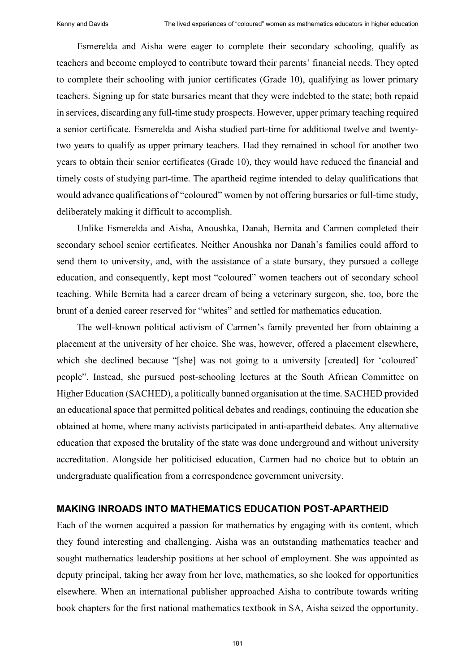Esmerelda and Aisha were eager to complete their secondary schooling, qualify as teachers and become employed to contribute toward their parents' financial needs. They opted to complete their schooling with junior certificates (Grade 10), qualifying as lower primary teachers. Signing up for state bursaries meant that they were indebted to the state; both repaid in services, discarding any full-time study prospects. However, upper primary teaching required a senior certificate. Esmerelda and Aisha studied part-time for additional twelve and twentytwo years to qualify as upper primary teachers. Had they remained in school for another two years to obtain their senior certificates (Grade 10), they would have reduced the financial and timely costs of studying part-time. The apartheid regime intended to delay qualifications that would advance qualifications of "coloured" women by not offering bursaries or full-time study, deliberately making it difficult to accomplish.

Unlike Esmerelda and Aisha, Anoushka, Danah, Bernita and Carmen completed their secondary school senior certificates. Neither Anoushka nor Danah's families could afford to send them to university, and, with the assistance of a state bursary, they pursued a college education, and consequently, kept most "coloured" women teachers out of secondary school teaching. While Bernita had a career dream of being a veterinary surgeon, she, too, bore the brunt of a denied career reserved for "whites" and settled for mathematics education.

The well-known political activism of Carmen's family prevented her from obtaining a placement at the university of her choice. She was, however, offered a placement elsewhere, which she declined because "[she] was not going to a university [created] for 'coloured' people". Instead, she pursued post-schooling lectures at the South African Committee on Higher Education (SACHED), a politically banned organisation at the time. SACHED provided an educational space that permitted political debates and readings, continuing the education she obtained at home, where many activists participated in anti-apartheid debates. Any alternative education that exposed the brutality of the state was done underground and without university accreditation. Alongside her politicised education, Carmen had no choice but to obtain an undergraduate qualification from a correspondence government university.

#### **MAKING INROADS INTO MATHEMATICS EDUCATION POST-APARTHEID**

Each of the women acquired a passion for mathematics by engaging with its content, which they found interesting and challenging. Aisha was an outstanding mathematics teacher and sought mathematics leadership positions at her school of employment. She was appointed as deputy principal, taking her away from her love, mathematics, so she looked for opportunities elsewhere. When an international publisher approached Aisha to contribute towards writing book chapters for the first national mathematics textbook in SA, Aisha seized the opportunity.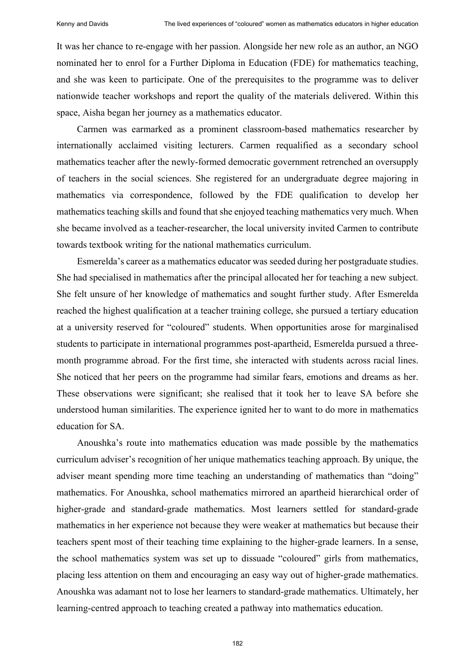It was her chance to re-engage with her passion. Alongside her new role as an author, an NGO nominated her to enrol for a Further Diploma in Education (FDE) for mathematics teaching, and she was keen to participate. One of the prerequisites to the programme was to deliver nationwide teacher workshops and report the quality of the materials delivered. Within this space, Aisha began her journey as a mathematics educator.

Carmen was earmarked as a prominent classroom-based mathematics researcher by internationally acclaimed visiting lecturers. Carmen requalified as a secondary school mathematics teacher after the newly-formed democratic government retrenched an oversupply of teachers in the social sciences. She registered for an undergraduate degree majoring in mathematics via correspondence, followed by the FDE qualification to develop her mathematics teaching skills and found that she enjoyed teaching mathematics very much. When she became involved as a teacher-researcher, the local university invited Carmen to contribute towards textbook writing for the national mathematics curriculum.

Esmerelda's career as a mathematics educator was seeded during her postgraduate studies. She had specialised in mathematics after the principal allocated her for teaching a new subject. She felt unsure of her knowledge of mathematics and sought further study. After Esmerelda reached the highest qualification at a teacher training college, she pursued a tertiary education at a university reserved for "coloured" students. When opportunities arose for marginalised students to participate in international programmes post-apartheid, Esmerelda pursued a threemonth programme abroad. For the first time, she interacted with students across racial lines. She noticed that her peers on the programme had similar fears, emotions and dreams as her. These observations were significant; she realised that it took her to leave SA before she understood human similarities. The experience ignited her to want to do more in mathematics education for SA.

Anoushka's route into mathematics education was made possible by the mathematics curriculum adviser's recognition of her unique mathematics teaching approach. By unique, the adviser meant spending more time teaching an understanding of mathematics than "doing" mathematics. For Anoushka, school mathematics mirrored an apartheid hierarchical order of higher-grade and standard-grade mathematics. Most learners settled for standard-grade mathematics in her experience not because they were weaker at mathematics but because their teachers spent most of their teaching time explaining to the higher-grade learners. In a sense, the school mathematics system was set up to dissuade "coloured" girls from mathematics, placing less attention on them and encouraging an easy way out of higher-grade mathematics. Anoushka was adamant not to lose her learners to standard-grade mathematics. Ultimately, her learning-centred approach to teaching created a pathway into mathematics education.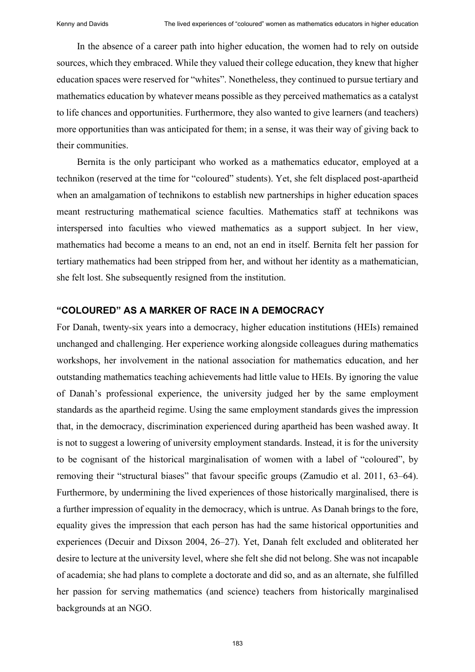In the absence of a career path into higher education, the women had to rely on outside sources, which they embraced. While they valued their college education, they knew that higher education spaces were reserved for "whites". Nonetheless, they continued to pursue tertiary and mathematics education by whatever means possible as they perceived mathematics as a catalyst to life chances and opportunities. Furthermore, they also wanted to give learners (and teachers) more opportunities than was anticipated for them; in a sense, it was their way of giving back to their communities.

Bernita is the only participant who worked as a mathematics educator, employed at a technikon (reserved at the time for "coloured" students). Yet, she felt displaced post-apartheid when an amalgamation of technikons to establish new partnerships in higher education spaces meant restructuring mathematical science faculties. Mathematics staff at technikons was interspersed into faculties who viewed mathematics as a support subject. In her view, mathematics had become a means to an end, not an end in itself. Bernita felt her passion for tertiary mathematics had been stripped from her, and without her identity as a mathematician, she felt lost. She subsequently resigned from the institution.

# **"COLOURED" AS A MARKER OF RACE IN A DEMOCRACY**

For Danah, twenty-six years into a democracy, higher education institutions (HEIs) remained unchanged and challenging. Her experience working alongside colleagues during mathematics workshops, her involvement in the national association for mathematics education, and her outstanding mathematics teaching achievements had little value to HEIs. By ignoring the value of Danah's professional experience, the university judged her by the same employment standards as the apartheid regime. Using the same employment standards gives the impression that, in the democracy, discrimination experienced during apartheid has been washed away. It is not to suggest a lowering of university employment standards. Instead, it is for the university to be cognisant of the historical marginalisation of women with a label of "coloured", by removing their "structural biases" that favour specific groups (Zamudio et al. 2011, 63–64). Furthermore, by undermining the lived experiences of those historically marginalised, there is a further impression of equality in the democracy, which is untrue. As Danah brings to the fore, equality gives the impression that each person has had the same historical opportunities and experiences (Decuir and Dixson 2004, 26–27). Yet, Danah felt excluded and obliterated her desire to lecture at the university level, where she felt she did not belong. She was not incapable of academia; she had plans to complete a doctorate and did so, and as an alternate, she fulfilled her passion for serving mathematics (and science) teachers from historically marginalised backgrounds at an NGO.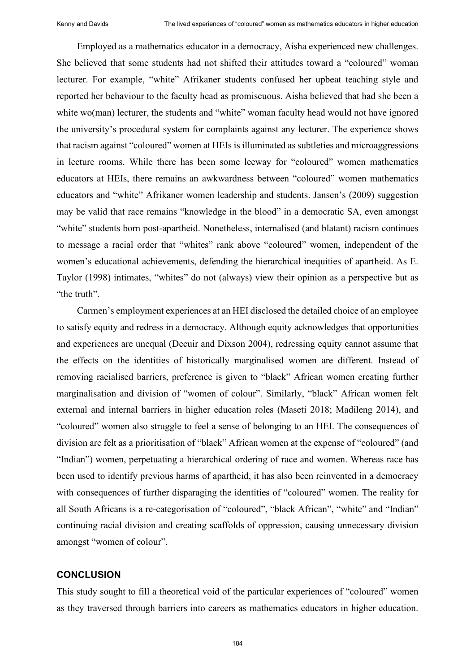Employed as a mathematics educator in a democracy, Aisha experienced new challenges. She believed that some students had not shifted their attitudes toward a "coloured" woman lecturer. For example, "white" Afrikaner students confused her upbeat teaching style and reported her behaviour to the faculty head as promiscuous. Aisha believed that had she been a white wo(man) lecturer, the students and "white" woman faculty head would not have ignored the university's procedural system for complaints against any lecturer. The experience shows that racism against "coloured" women at HEIs is illuminated as subtleties and microaggressions in lecture rooms. While there has been some leeway for "coloured" women mathematics educators at HEIs, there remains an awkwardness between "coloured" women mathematics educators and "white" Afrikaner women leadership and students. Jansen's (2009) suggestion may be valid that race remains "knowledge in the blood" in a democratic SA, even amongst "white" students born post-apartheid. Nonetheless, internalised (and blatant) racism continues to message a racial order that "whites" rank above "coloured" women, independent of the women's educational achievements, defending the hierarchical inequities of apartheid. As E. Taylor (1998) intimates, "whites" do not (always) view their opinion as a perspective but as "the truth".

Carmen's employment experiences at an HEI disclosed the detailed choice of an employee to satisfy equity and redress in a democracy. Although equity acknowledges that opportunities and experiences are unequal (Decuir and Dixson 2004), redressing equity cannot assume that the effects on the identities of historically marginalised women are different. Instead of removing racialised barriers, preference is given to "black" African women creating further marginalisation and division of "women of colour". Similarly, "black" African women felt external and internal barriers in higher education roles (Maseti 2018; Madileng 2014), and "coloured" women also struggle to feel a sense of belonging to an HEI. The consequences of division are felt as a prioritisation of "black" African women at the expense of "coloured" (and "Indian") women, perpetuating a hierarchical ordering of race and women. Whereas race has been used to identify previous harms of apartheid, it has also been reinvented in a democracy with consequences of further disparaging the identities of "coloured" women. The reality for all South Africans is a re-categorisation of "coloured", "black African", "white" and "Indian" continuing racial division and creating scaffolds of oppression, causing unnecessary division amongst "women of colour".

# **CONCLUSION**

This study sought to fill a theoretical void of the particular experiences of "coloured" women as they traversed through barriers into careers as mathematics educators in higher education.

184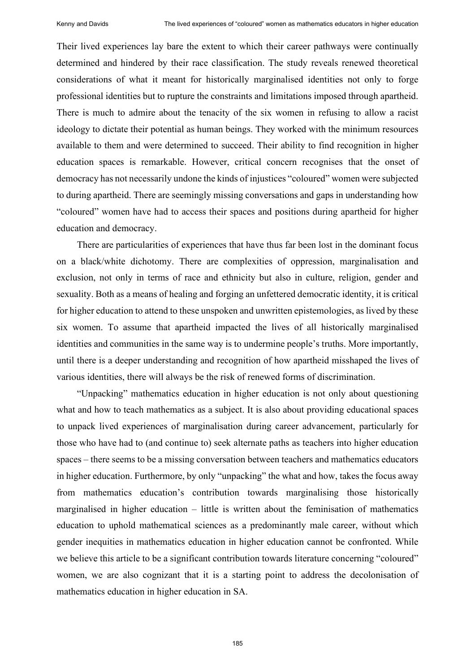Their lived experiences lay bare the extent to which their career pathways were continually determined and hindered by their race classification. The study reveals renewed theoretical considerations of what it meant for historically marginalised identities not only to forge professional identities but to rupture the constraints and limitations imposed through apartheid. There is much to admire about the tenacity of the six women in refusing to allow a racist ideology to dictate their potential as human beings. They worked with the minimum resources available to them and were determined to succeed. Their ability to find recognition in higher education spaces is remarkable. However, critical concern recognises that the onset of democracy has not necessarily undone the kinds of injustices "coloured" women were subjected to during apartheid. There are seemingly missing conversations and gaps in understanding how "coloured" women have had to access their spaces and positions during apartheid for higher education and democracy.

There are particularities of experiences that have thus far been lost in the dominant focus on a black/white dichotomy. There are complexities of oppression, marginalisation and exclusion, not only in terms of race and ethnicity but also in culture, religion, gender and sexuality. Both as a means of healing and forging an unfettered democratic identity, it is critical for higher education to attend to these unspoken and unwritten epistemologies, as lived by these six women. To assume that apartheid impacted the lives of all historically marginalised identities and communities in the same way is to undermine people's truths. More importantly, until there is a deeper understanding and recognition of how apartheid misshaped the lives of various identities, there will always be the risk of renewed forms of discrimination.

"Unpacking" mathematics education in higher education is not only about questioning what and how to teach mathematics as a subject. It is also about providing educational spaces to unpack lived experiences of marginalisation during career advancement, particularly for those who have had to (and continue to) seek alternate paths as teachers into higher education spaces – there seems to be a missing conversation between teachers and mathematics educators in higher education. Furthermore, by only "unpacking" the what and how, takes the focus away from mathematics education's contribution towards marginalising those historically marginalised in higher education  $-$  little is written about the feminisation of mathematics education to uphold mathematical sciences as a predominantly male career, without which gender inequities in mathematics education in higher education cannot be confronted. While we believe this article to be a significant contribution towards literature concerning "coloured" women, we are also cognizant that it is a starting point to address the decolonisation of mathematics education in higher education in SA.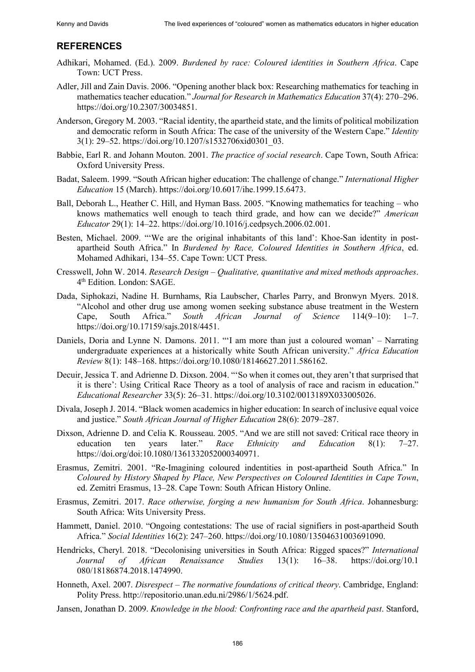# **REFERENCES**

- Adhikari, Mohamed. (Ed.). 2009. *Burdened by race: Coloured identities in Southern Africa*. Cape Town: UCT Press.
- Adler, Jill and Zain Davis. 2006. "Opening another black box: Researching mathematics for teaching in mathematics teacher education." *Journal for Research in Mathematics Education* 37(4): 270–296. [https://doi.org/10.2307/30034851.](https://doi.org/10.2307/30034851)
- Anderson, Gregory M. 2003. "Racial identity, the apartheid state, and the limits of political mobilization and democratic reform in South Africa: The case of the university of the Western Cape." *Identity* 3(1): 29–52. https://doi.org/10.1207/s1532706xid0301\_03.
- Babbie, Earl R. and Johann Mouton. 2001. *The practice of social research*. Cape Town, South Africa: Oxford University Press.
- Badat, Saleem. 1999. "South African higher education: The challenge of change." *International Higher Education* 15 (March). https://doi.org/10.6017/ihe.1999.15.6473.
- Ball, Deborah L., Heather C. Hill, and Hyman Bass. 2005. "Knowing mathematics for teaching who knows mathematics well enough to teach third grade, and how can we decide?" *American Educator* 29(1): 14–22. https://doi.org/10.1016/j.cedpsych.2006.02.001.
- Besten, Michael. 2009. "'We are the original inhabitants of this land': Khoe-San identity in postapartheid South Africa." In *Burdened by Race, Coloured Identities in Southern Africa*, ed. Mohamed Adhikari, 134–55. Cape Town: UCT Press.
- Cresswell, John W. 2014. *Research Design ‒ Qualitative, quantitative and mixed methods approaches*. 4th Edition. London: SAGE.
- Dada, Siphokazi, Nadine H. Burnhams, Ria Laubscher, Charles Parry, and Bronwyn Myers. 2018. "Alcohol and other drug use among women seeking substance abuse treatment in the Western Cape, South Africa." *South African Journal of Science* 114(9–10): 1–7. https://doi.org/10.17159/sajs.2018/4451.
- Daniels, Doria and Lynne N. Damons. 2011. "'I am more than just a coloured woman' Narrating undergraduate experiences at a historically white South African university." *Africa Education Review* 8(1): 148–168. https://doi.org/10.1080/18146627.2011.586162.
- Decuir, Jessica T. and Adrienne D. Dixson. 2004. "'So when it comes out, they aren't that surprised that it is there': Using Critical Race Theory as a tool of analysis of race and racism in education." *Educational Researcher* 33(5): 26–31. https://doi.org/10.3102/0013189X033005026.
- Divala, Joseph J. 2014. "Black women academics in higher education: In search of inclusive equal voice and justice." *South African Journal of Higher Education* 28(6): 2079–287.
- Dixson, Adrienne D. and Celia K. Rousseau. 2005. "And we are still not saved: Critical race theory in education ten years later." *Race Ethnicity and Education* 8(1): 7–27. https://doi.org/doi:10.1080/1361332052000340971.
- Erasmus, Zemitri. 2001. "Re-Imagining coloured indentities in post-apartheid South Africa." In *Coloured by History Shaped by Place, New Perspectives on Coloured Identities in Cape Town*, ed. Zemitri Erasmus, 13–28. Cape Town: South African History Online.
- Erasmus, Zemitri. 2017. *Race otherwise, forging a new humanism for South Africa*. Johannesburg: South Africa: Wits University Press.
- Hammett, Daniel. 2010. "Ongoing contestations: The use of racial signifiers in post-apartheid South Africa." *Social Identities* 16(2): 247–260. https://doi.org/10.1080/13504631003691090.
- Hendricks, Cheryl. 2018. "Decolonising universities in South Africa: Rigged spaces?" *International Journal of African Renaissance Studies* 13(1): 16–38. https://doi.org/10.1 080/18186874.2018.1474990.
- Honneth, Axel. 2007. *Disrespect The normative foundations of critical theory*. Cambridge, England: Polity Press. http://repositorio.unan.edu.ni/2986/1/5624.pdf.
- Jansen, Jonathan D. 2009. *Knowledge in the blood: Confronting race and the apartheid past*. Stanford,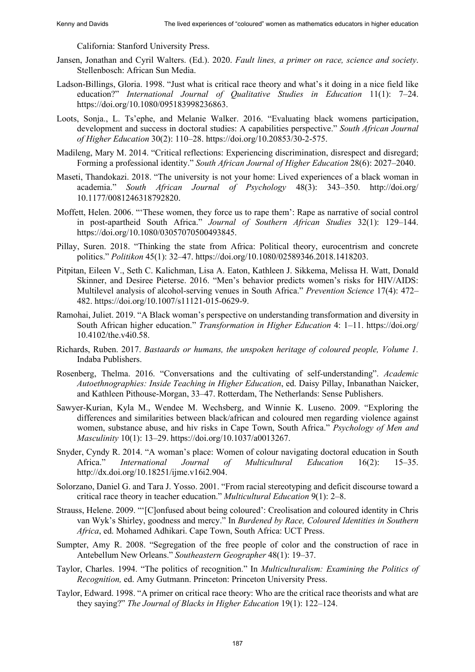California: Stanford University Press.

- Jansen, Jonathan and Cyril Walters. (Ed.). 2020. *Fault lines, a primer on race, science and society*. Stellenbosch: African Sun Media.
- Ladson-Billings, Gloria. 1998. "Just what is critical race theory and what's it doing in a nice field like education?" *International Journal of Qualitative Studies in Education* 11(1): 7–24. https://doi.org/10.1080/095183998236863.
- Loots, Sonja., L. Ts'ephe, and Melanie Walker. 2016. "Evaluating black womens participation, development and success in doctoral studies: A capabilities perspective." *South African Journal of Higher Education* 30(2): 110–28. https://doi.org/10.20853/30-2-575.
- Madileng, Mary M. 2014. "Critical reflections: Experiencing discrimination, disrespect and disregard; Forming a professional identity." *South African Journal of Higher Education* 28(6): 2027–2040.
- Maseti, Thandokazi. 2018. "The university is not your home: Lived experiences of a black woman in academia." *South African Journal of Psychology* 48(3): 343‒350. http://doi.org/ 10.1177/0081246318792820.
- Moffett, Helen. 2006. "'These women, they force us to rape them': Rape as narrative of social control in post-apartheid South Africa." *Journal of Southern African Studies* 32(1): 129–144. https://doi.org/10.1080/03057070500493845.
- Pillay, Suren. 2018. "Thinking the state from Africa: Political theory, eurocentrism and concrete politics." *Politikon* 45(1): 32–47. https://doi.org/10.1080/02589346.2018.1418203.
- Pitpitan, Eileen V., Seth C. Kalichman, Lisa A. Eaton, Kathleen J. Sikkema, Melissa H. Watt, Donald Skinner, and Desiree Pieterse. 2016. "Men's behavior predicts women's risks for HIV/AIDS: Multilevel analysis of alcohol-serving venues in South Africa." *Prevention Science* 17(4): 472– 482. https://doi.org/10.1007/s11121-015-0629-9.
- Ramohai, Juliet. 2019. "A Black woman's perspective on understanding transformation and diversity in South African higher education." *Transformation in Higher Education* 4: 1–11. https://doi.org/ 10.4102/the.v4i0.58.
- Richards, Ruben. 2017. *Bastaards or humans, the unspoken heritage of coloured people, Volume 1.* Indaba Publishers.
- Rosenberg, Thelma. 2016. "Conversations and the cultivating of self-understanding". *Academic Autoethnographies: Inside Teaching in Higher Education*, ed. Daisy Pillay, Inbanathan Naicker, and Kathleen Pithouse-Morgan, 33–47. Rotterdam, The Netherlands: Sense Publishers.
- Sawyer-Kurian, Kyla M., Wendee M. Wechsberg, and Winnie K. Luseno. 2009. "Exploring the differences and similarities between black/african and coloured men regarding violence against women, substance abuse, and hiv risks in Cape Town, South Africa." *Psychology of Men and Masculinity* 10(1): 13–29. https://doi.org/10.1037/a0013267.
- Snyder, Cyndy R. 2014. "A woman's place: Women of colour navigating doctoral education in South Africa." *International Journal of Multicultural Education* 16(2): 15–35. [http://dx.doi.org/10.18251/ijme.v16i2.904.](http://dx.doi.org/10.18251/ijme.v16i2.904)
- Solorzano, Daniel G. and Tara J. Yosso. 2001. "From racial stereotyping and deficit discourse toward a critical race theory in teacher education." *Multicultural Education* 9(1): 2–8.
- Strauss, Helene. 2009. "'[C]onfused about being coloured': Creolisation and coloured identity in Chris van Wyk's Shirley, goodness and mercy." In *Burdened by Race, Coloured Identities in Southern Africa*, ed. Mohamed Adhikari. Cape Town, South Africa: UCT Press.
- Sumpter, Amy R. 2008. "Segregation of the free people of color and the construction of race in Antebellum New Orleans." *Southeastern Geographer* 48(1): 19‒37.
- Taylor, Charles. 1994. "The politics of recognition." In *Multiculturalism: Examining the Politics of Recognition,* ed. Amy Gutmann. Princeton: Princeton University Press.
- Taylor, Edward. 1998. "A primer on critical race theory: Who are the critical race theorists and what are they saying?" *The Journal of Blacks in Higher Education* 19(1): 122–124.